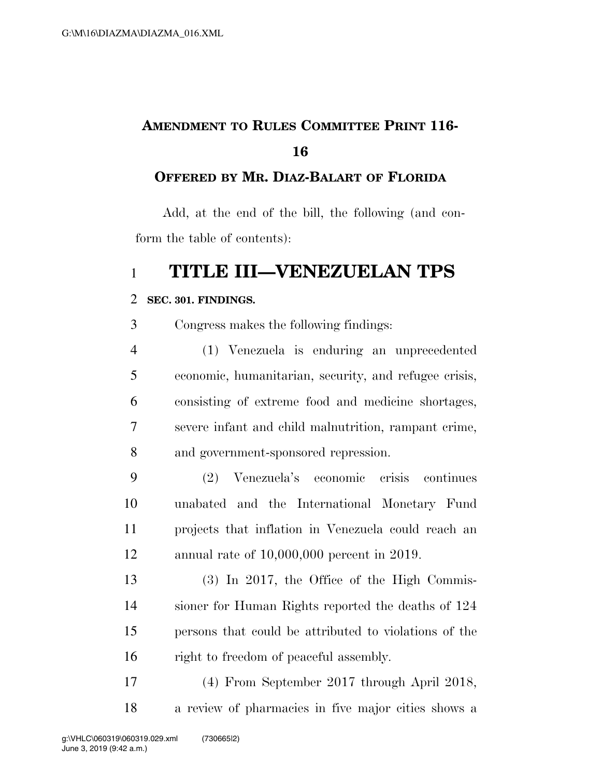# **AMENDMENT TO RULES COMMITTEE PRINT 116-**

### **OFFERED BY MR. DIAZ-BALART OF FLORIDA**

Add, at the end of the bill, the following (and conform the table of contents):

## **TITLE III—VENEZUELAN TPS**

#### **SEC. 301. FINDINGS.**

Congress makes the following findings:

 (1) Venezuela is enduring an unprecedented economic, humanitarian, security, and refugee crisis, consisting of extreme food and medicine shortages, severe infant and child malnutrition, rampant crime, and government-sponsored repression.

 (2) Venezuela's economic crisis continues unabated and the International Monetary Fund projects that inflation in Venezuela could reach an annual rate of 10,000,000 percent in 2019.

 (3) In 2017, the Office of the High Commis- sioner for Human Rights reported the deaths of 124 persons that could be attributed to violations of the right to freedom of peaceful assembly.

 (4) From September 2017 through April 2018, a review of pharmacies in five major cities shows a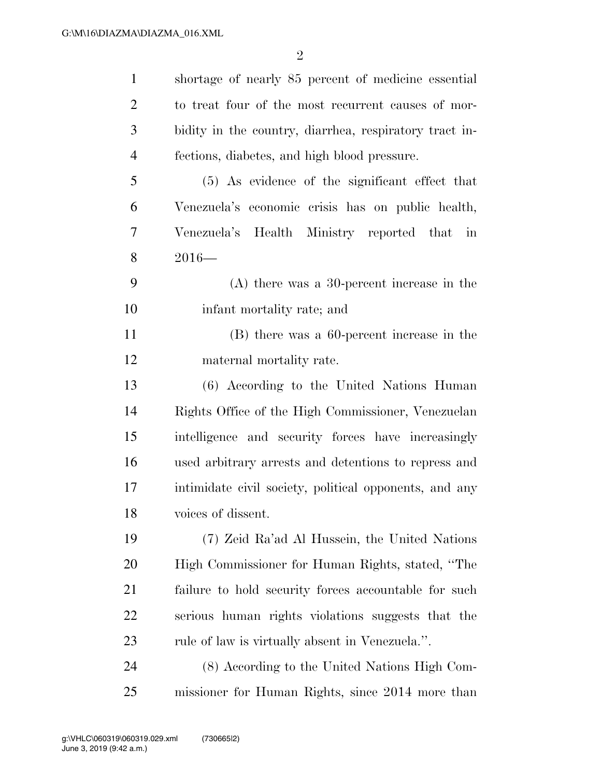| $\mathbf{1}$   | shortage of nearly 85 percent of medicine essential    |
|----------------|--------------------------------------------------------|
| $\overline{2}$ | to treat four of the most recurrent causes of mor-     |
| 3              | bidity in the country, diarrhea, respiratory tract in- |
| $\overline{4}$ | fections, diabetes, and high blood pressure.           |
| 5              | (5) As evidence of the significant effect that         |
| 6              | Venezuela's economic crisis has on public health,      |
| 7              | Venezuela's Health Ministry reported that in           |
| 8              | $2016-$                                                |
| 9              | $(A)$ there was a 30-percent increase in the           |
| 10             | infant mortality rate; and                             |
| 11             | (B) there was a 60-percent increase in the             |
| 12             | maternal mortality rate.                               |
| 13             | (6) According to the United Nations Human              |
| 14             | Rights Office of the High Commissioner, Venezuelan     |
| 15             | intelligence and security forces have increasingly     |
| 16             | used arbitrary arrests and detentions to repress and   |
| 17             | intimidate civil society, political opponents, and any |
| 18             | voices of dissent.                                     |
| 19             | (7) Zeid Ra'ad Al Hussein, the United Nations          |
| 20             | High Commissioner for Human Rights, stated, "The       |
| 21             | failure to hold security forces accountable for such   |
| 22             | serious human rights violations suggests that the      |
| 23             | rule of law is virtually absent in Venezuela.".        |
| 24             | (8) According to the United Nations High Com-          |
| 25             | missioner for Human Rights, since 2014 more than       |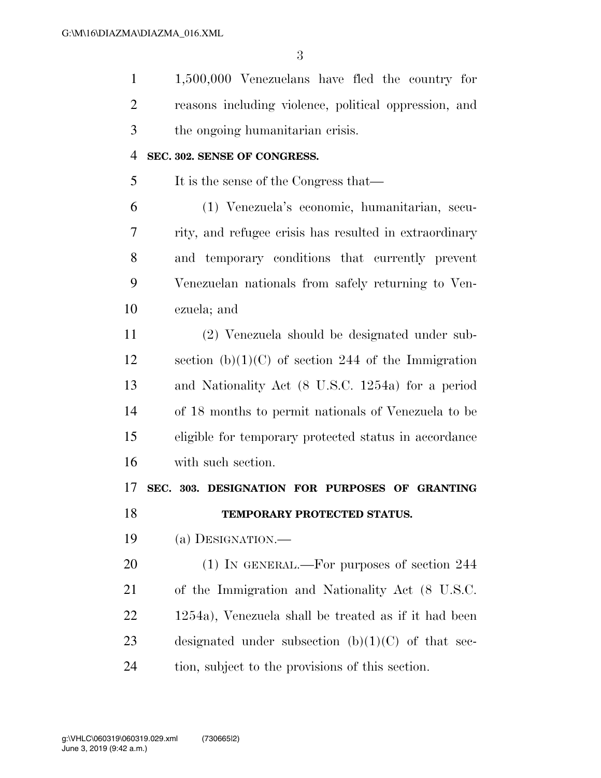1,500,000 Venezuelans have fled the country for reasons including violence, political oppression, and the ongoing humanitarian crisis. **SEC. 302. SENSE OF CONGRESS.** 

It is the sense of the Congress that—

 (1) Venezuela's economic, humanitarian, secu- rity, and refugee crisis has resulted in extraordinary and temporary conditions that currently prevent Venezuelan nationals from safely returning to Ven-ezuela; and

 (2) Venezuela should be designated under sub-12 section  $(b)(1)(C)$  of section 244 of the Immigration and Nationality Act (8 U.S.C. 1254a) for a period of 18 months to permit nationals of Venezuela to be eligible for temporary protected status in accordance with such section.

**SEC. 303. DESIGNATION FOR PURPOSES OF GRANTING** 

# **TEMPORARY PROTECTED STATUS.**

(a) DESIGNATION.—

20 (1) IN GENERAL.—For purposes of section 244 of the Immigration and Nationality Act (8 U.S.C. 1254a), Venezuela shall be treated as if it had been 23 designated under subsection  $(b)(1)(C)$  of that sec-tion, subject to the provisions of this section.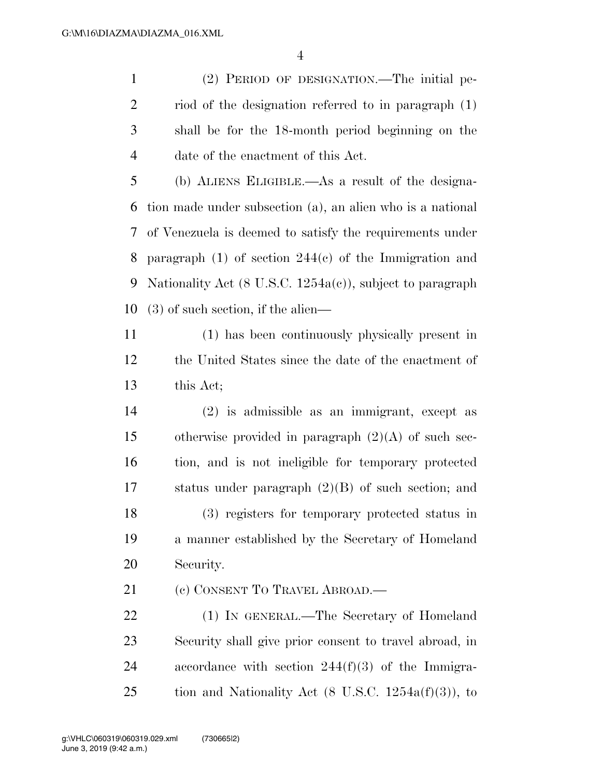(2) PERIOD OF DESIGNATION.—The initial pe- riod of the designation referred to in paragraph (1) shall be for the 18-month period beginning on the date of the enactment of this Act.

 (b) ALIENS ELIGIBLE.—As a result of the designa- tion made under subsection (a), an alien who is a national of Venezuela is deemed to satisfy the requirements under paragraph (1) of section 244(c) of the Immigration and Nationality Act (8 U.S.C. 1254a(c)), subject to paragraph (3) of such section, if the alien—

 (1) has been continuously physically present in the United States since the date of the enactment of this Act;

 (2) is admissible as an immigrant, except as otherwise provided in paragraph (2)(A) of such sec- tion, and is not ineligible for temporary protected status under paragraph (2)(B) of such section; and (3) registers for temporary protected status in a manner established by the Secretary of Homeland Security.

21 (c) CONSENT TO TRAVEL ABROAD.—

 (1) IN GENERAL.—The Secretary of Homeland Security shall give prior consent to travel abroad, in accordance with section 244(f)(3) of the Immigra-25 tion and Nationality Act  $(8 \text{ U.S.C. } 1254a(f)(3))$ , to